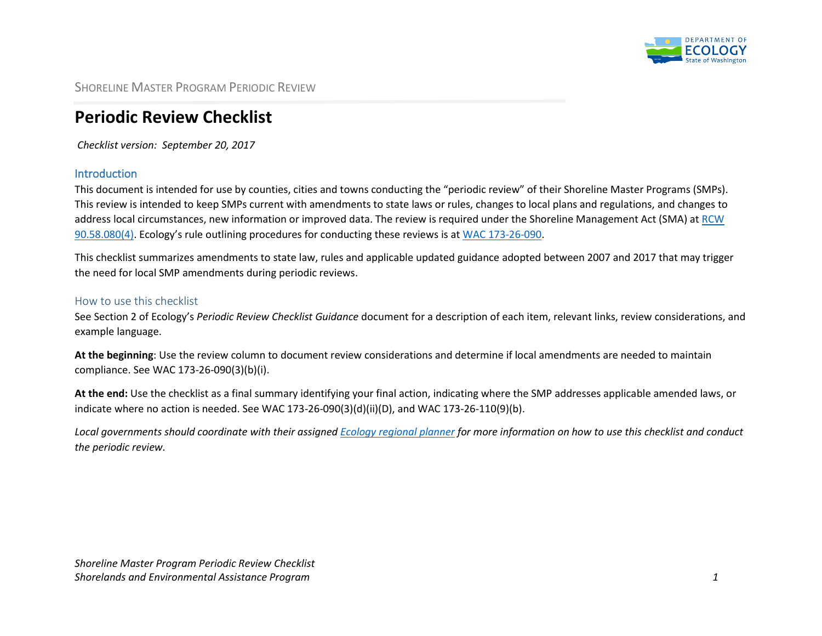

SHORELINE MASTER PROGRAM PERIODIC REVIEW

## **Periodic Review Checklist**

*Checklist version: September 20, 2017*

## Introduction

This document is intended for use by counties, cities and towns conducting the "periodic review" of their Shoreline Master Programs (SMPs). This review is intended to keep SMPs current with amendments to state laws or rules, changes to local plans and regulations, and changes to address local circumstances, new information or improved data. The review is required under the Shoreline Management Act (SMA) at [RCW](http://app.leg.wa.gov/RCW/default.aspx?cite=90.58.080)  [90.58.080\(4\)](http://app.leg.wa.gov/RCW/default.aspx?cite=90.58.080). Ecology's rule outlining procedures for conducting these reviews is at [WAC 173-26-090.](http://apps.leg.wa.gov/wac/default.aspx?cite=173-26-090)

This checklist summarizes amendments to state law, rules and applicable updated guidance adopted between 2007 and 2017 that may trigger the need for local SMP amendments during periodic reviews.

## How to use this checklist

See Section 2 of Ecology's *Periodic Review Checklist Guidance* document for a description of each item, relevant links, review considerations, and example language.

**At the beginning**: Use the review column to document review considerations and determine if local amendments are needed to maintain compliance. See WAC 173-26-090(3)(b)(i).

**At the end:** Use the checklist as a final summary identifying your final action, indicating where the SMP addresses applicable amended laws, or indicate where no action is needed. See WAC 173-26-090(3)(d)(ii)(D), and WAC 173-26-110(9)(b).

*Local governments should coordinate with their assigned Ecology [regional planner](http://www.ecy.wa.gov/programs/sea/sma/contacts/index.html) for more information on how to use this checklist and conduct the periodic review.*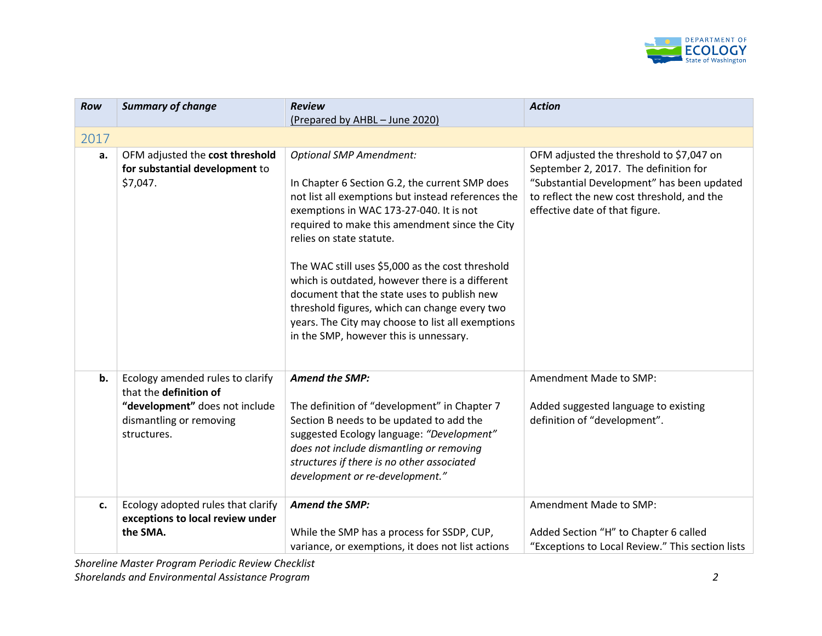

| Row  | <b>Summary of change</b>                                                                                                               | <b>Review</b>                                                                                                                                                                                                                                                                                                                                                                                                                                                                                                                                                         | <b>Action</b>                                                                                                                                                                                                   |
|------|----------------------------------------------------------------------------------------------------------------------------------------|-----------------------------------------------------------------------------------------------------------------------------------------------------------------------------------------------------------------------------------------------------------------------------------------------------------------------------------------------------------------------------------------------------------------------------------------------------------------------------------------------------------------------------------------------------------------------|-----------------------------------------------------------------------------------------------------------------------------------------------------------------------------------------------------------------|
|      |                                                                                                                                        | (Prepared by AHBL - June 2020)                                                                                                                                                                                                                                                                                                                                                                                                                                                                                                                                        |                                                                                                                                                                                                                 |
| 2017 |                                                                                                                                        |                                                                                                                                                                                                                                                                                                                                                                                                                                                                                                                                                                       |                                                                                                                                                                                                                 |
| a.   | OFM adjusted the cost threshold<br>for substantial development to<br>\$7,047.                                                          | <b>Optional SMP Amendment:</b><br>In Chapter 6 Section G.2, the current SMP does<br>not list all exemptions but instead references the<br>exemptions in WAC 173-27-040. It is not<br>required to make this amendment since the City<br>relies on state statute.<br>The WAC still uses \$5,000 as the cost threshold<br>which is outdated, however there is a different<br>document that the state uses to publish new<br>threshold figures, which can change every two<br>years. The City may choose to list all exemptions<br>in the SMP, however this is unnessary. | OFM adjusted the threshold to \$7,047 on<br>September 2, 2017. The definition for<br>"Substantial Development" has been updated<br>to reflect the new cost threshold, and the<br>effective date of that figure. |
| b.   | Ecology amended rules to clarify<br>that the definition of<br>"development" does not include<br>dismantling or removing<br>structures. | <b>Amend the SMP:</b><br>The definition of "development" in Chapter 7<br>Section B needs to be updated to add the<br>suggested Ecology language: "Development"<br>does not include dismantling or removing<br>structures if there is no other associated<br>development or re-development."                                                                                                                                                                                                                                                                           | Amendment Made to SMP:<br>Added suggested language to existing<br>definition of "development".                                                                                                                  |
| c.   | Ecology adopted rules that clarify<br>exceptions to local review under<br>the SMA.                                                     | <b>Amend the SMP:</b><br>While the SMP has a process for SSDP, CUP,<br>variance, or exemptions, it does not list actions                                                                                                                                                                                                                                                                                                                                                                                                                                              | Amendment Made to SMP:<br>Added Section "H" to Chapter 6 called<br>"Exceptions to Local Review." This section lists                                                                                             |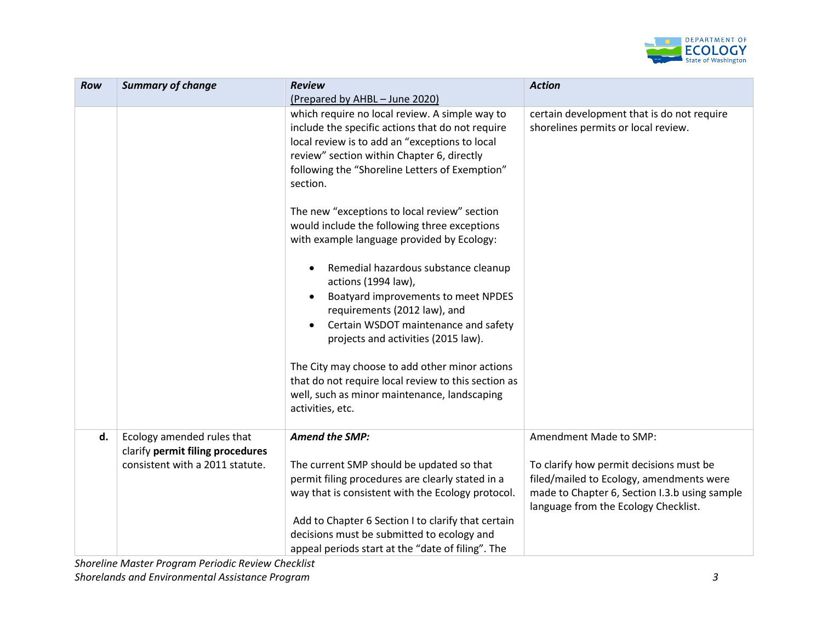

| Row | <b>Summary of change</b>                                       | <b>Review</b>                                                                                                                                                             | <b>Action</b>                                                                                                                                                                |
|-----|----------------------------------------------------------------|---------------------------------------------------------------------------------------------------------------------------------------------------------------------------|------------------------------------------------------------------------------------------------------------------------------------------------------------------------------|
|     |                                                                | (Prepared by AHBL - June 2020)<br>which require no local review. A simple way to<br>include the specific actions that do not require                                      | certain development that is do not require<br>shorelines permits or local review.                                                                                            |
|     |                                                                | local review is to add an "exceptions to local<br>review" section within Chapter 6, directly<br>following the "Shoreline Letters of Exemption"<br>section.                |                                                                                                                                                                              |
|     |                                                                | The new "exceptions to local review" section<br>would include the following three exceptions<br>with example language provided by Ecology:                                |                                                                                                                                                                              |
|     |                                                                | Remedial hazardous substance cleanup<br>actions (1994 law),                                                                                                               |                                                                                                                                                                              |
|     |                                                                | Boatyard improvements to meet NPDES<br>requirements (2012 law), and<br>Certain WSDOT maintenance and safety<br>projects and activities (2015 law).                        |                                                                                                                                                                              |
|     |                                                                | The City may choose to add other minor actions<br>that do not require local review to this section as<br>well, such as minor maintenance, landscaping<br>activities, etc. |                                                                                                                                                                              |
| d.  | Ecology amended rules that<br>clarify permit filing procedures | <b>Amend the SMP:</b>                                                                                                                                                     | Amendment Made to SMP:                                                                                                                                                       |
|     | consistent with a 2011 statute.                                | The current SMP should be updated so that<br>permit filing procedures are clearly stated in a<br>way that is consistent with the Ecology protocol.                        | To clarify how permit decisions must be<br>filed/mailed to Ecology, amendments were<br>made to Chapter 6, Section I.3.b using sample<br>language from the Ecology Checklist. |
|     |                                                                | Add to Chapter 6 Section I to clarify that certain<br>decisions must be submitted to ecology and<br>appeal periods start at the "date of filing". The                     |                                                                                                                                                                              |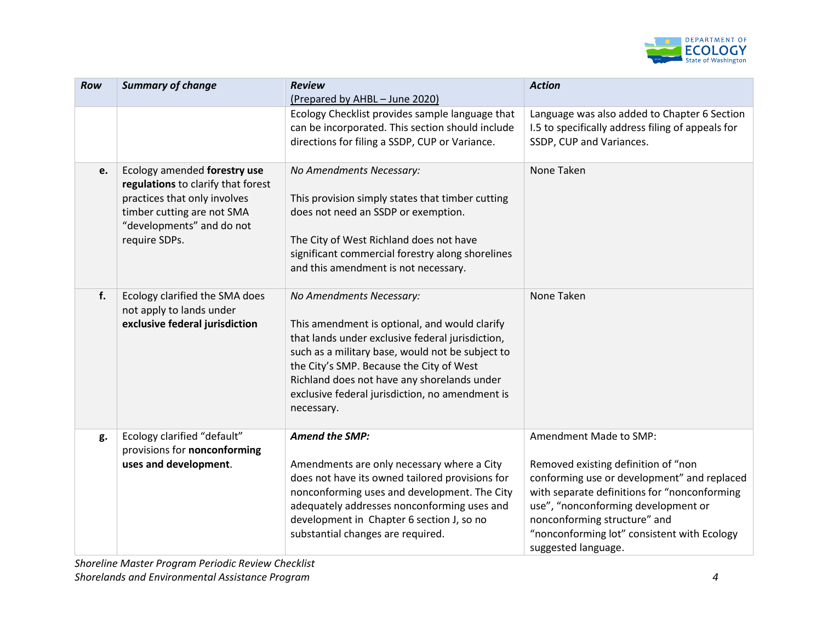

| Row | <b>Summary of change</b>                                                                                                                                                       | <b>Review</b><br>(Prepared by AHBL - June 2020)                                                                                                                                                                                                                                                                                               | <b>Action</b>                                                                                                                                                                                                                                                                                             |
|-----|--------------------------------------------------------------------------------------------------------------------------------------------------------------------------------|-----------------------------------------------------------------------------------------------------------------------------------------------------------------------------------------------------------------------------------------------------------------------------------------------------------------------------------------------|-----------------------------------------------------------------------------------------------------------------------------------------------------------------------------------------------------------------------------------------------------------------------------------------------------------|
|     |                                                                                                                                                                                | Ecology Checklist provides sample language that<br>can be incorporated. This section should include<br>directions for filing a SSDP, CUP or Variance.                                                                                                                                                                                         | Language was also added to Chapter 6 Section<br>I.5 to specifically address filing of appeals for<br>SSDP, CUP and Variances.                                                                                                                                                                             |
| e.  | Ecology amended forestry use<br>regulations to clarify that forest<br>practices that only involves<br>timber cutting are not SMA<br>"developments" and do not<br>require SDPs. | No Amendments Necessary:<br>This provision simply states that timber cutting<br>does not need an SSDP or exemption.<br>The City of West Richland does not have<br>significant commercial forestry along shorelines<br>and this amendment is not necessary.                                                                                    | None Taken                                                                                                                                                                                                                                                                                                |
| f.  | Ecology clarified the SMA does<br>not apply to lands under<br>exclusive federal jurisdiction                                                                                   | No Amendments Necessary:<br>This amendment is optional, and would clarify<br>that lands under exclusive federal jurisdiction,<br>such as a military base, would not be subject to<br>the City's SMP. Because the City of West<br>Richland does not have any shorelands under<br>exclusive federal jurisdiction, no amendment is<br>necessary. | None Taken                                                                                                                                                                                                                                                                                                |
| g.  | Ecology clarified "default"<br>provisions for nonconforming<br>uses and development.                                                                                           | <b>Amend the SMP:</b><br>Amendments are only necessary where a City<br>does not have its owned tailored provisions for<br>nonconforming uses and development. The City<br>adequately addresses nonconforming uses and<br>development in Chapter 6 section J, so no<br>substantial changes are required.                                       | Amendment Made to SMP:<br>Removed existing definition of "non<br>conforming use or development" and replaced<br>with separate definitions for "nonconforming<br>use", "nonconforming development or<br>nonconforming structure" and<br>"nonconforming lot" consistent with Ecology<br>suggested language. |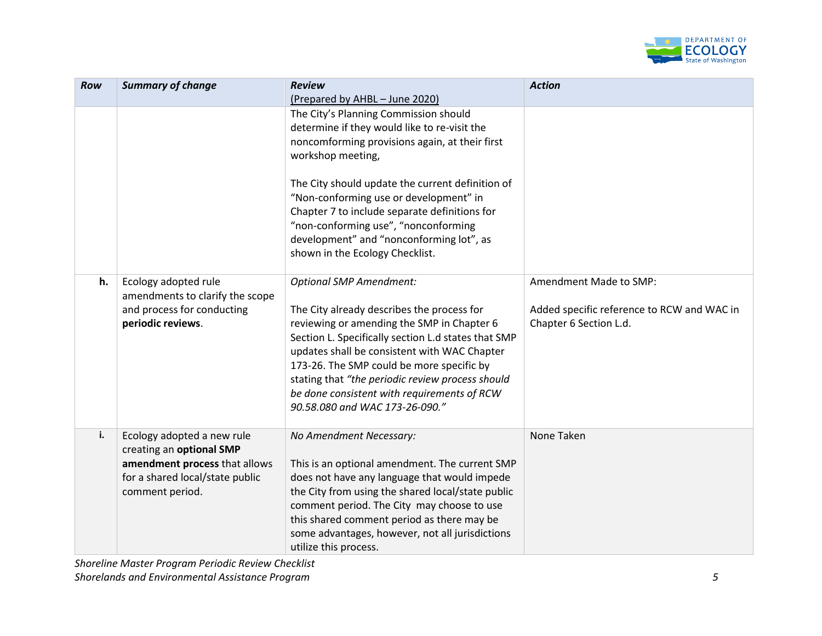

| <b>Row</b> | <b>Summary of change</b>                                                                                                                      | <b>Review</b><br>(Prepared by AHBL - June 2020)                                                                                                                                                                                                                                                                                                                                                                                    | <b>Action</b>                                                                                  |
|------------|-----------------------------------------------------------------------------------------------------------------------------------------------|------------------------------------------------------------------------------------------------------------------------------------------------------------------------------------------------------------------------------------------------------------------------------------------------------------------------------------------------------------------------------------------------------------------------------------|------------------------------------------------------------------------------------------------|
|            |                                                                                                                                               | The City's Planning Commission should<br>determine if they would like to re-visit the<br>noncomforming provisions again, at their first<br>workshop meeting,<br>The City should update the current definition of<br>"Non-conforming use or development" in<br>Chapter 7 to include separate definitions for<br>"non-conforming use", "nonconforming<br>development" and "nonconforming lot", as<br>shown in the Ecology Checklist. |                                                                                                |
| h.         | Ecology adopted rule<br>amendments to clarify the scope<br>and process for conducting<br>periodic reviews.                                    | <b>Optional SMP Amendment:</b><br>The City already describes the process for<br>reviewing or amending the SMP in Chapter 6<br>Section L. Specifically section L.d states that SMP<br>updates shall be consistent with WAC Chapter<br>173-26. The SMP could be more specific by<br>stating that "the periodic review process should<br>be done consistent with requirements of RCW<br>90.58.080 and WAC 173-26-090."                | Amendment Made to SMP:<br>Added specific reference to RCW and WAC in<br>Chapter 6 Section L.d. |
| i.         | Ecology adopted a new rule<br>creating an optional SMP<br>amendment process that allows<br>for a shared local/state public<br>comment period. | No Amendment Necessary:<br>This is an optional amendment. The current SMP<br>does not have any language that would impede<br>the City from using the shared local/state public<br>comment period. The City may choose to use<br>this shared comment period as there may be<br>some advantages, however, not all jurisdictions<br>utilize this process.                                                                             | None Taken                                                                                     |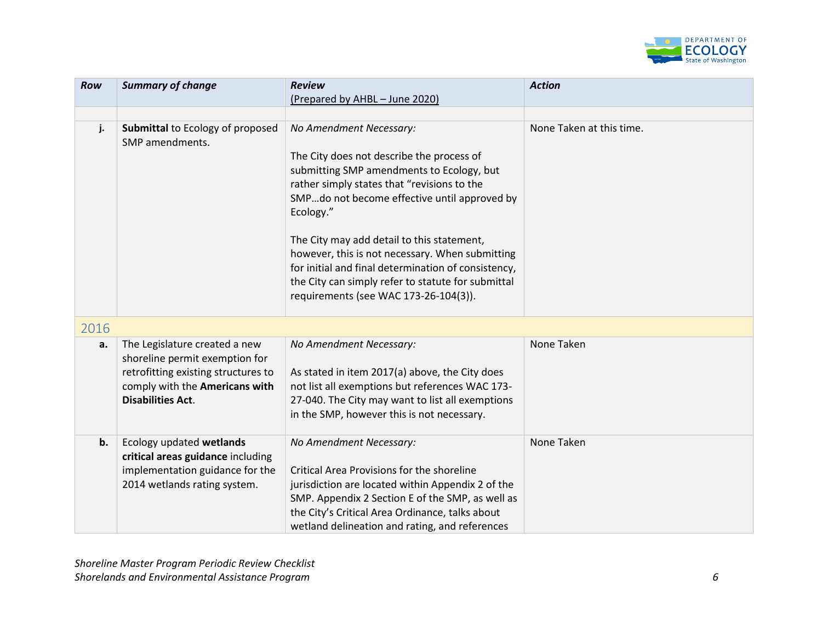

| Row  | <b>Summary of change</b>                                                                                                                                             | <b>Review</b><br>(Prepared by AHBL - June 2020)                                                                                                                                                                                                                                                                                                                                                                                                                                      | <b>Action</b>            |
|------|----------------------------------------------------------------------------------------------------------------------------------------------------------------------|--------------------------------------------------------------------------------------------------------------------------------------------------------------------------------------------------------------------------------------------------------------------------------------------------------------------------------------------------------------------------------------------------------------------------------------------------------------------------------------|--------------------------|
|      |                                                                                                                                                                      |                                                                                                                                                                                                                                                                                                                                                                                                                                                                                      |                          |
| j.   | <b>Submittal to Ecology of proposed</b><br>SMP amendments.                                                                                                           | No Amendment Necessary:<br>The City does not describe the process of<br>submitting SMP amendments to Ecology, but<br>rather simply states that "revisions to the<br>SMPdo not become effective until approved by<br>Ecology."<br>The City may add detail to this statement,<br>however, this is not necessary. When submitting<br>for initial and final determination of consistency,<br>the City can simply refer to statute for submittal<br>requirements (see WAC 173-26-104(3)). | None Taken at this time. |
| 2016 |                                                                                                                                                                      |                                                                                                                                                                                                                                                                                                                                                                                                                                                                                      |                          |
| a.   | The Legislature created a new<br>shoreline permit exemption for<br>retrofitting existing structures to<br>comply with the Americans with<br><b>Disabilities Act.</b> | No Amendment Necessary:<br>As stated in item 2017(a) above, the City does<br>not list all exemptions but references WAC 173-<br>27-040. The City may want to list all exemptions<br>in the SMP, however this is not necessary.                                                                                                                                                                                                                                                       | None Taken               |
| b.   | Ecology updated wetlands<br>critical areas guidance including<br>implementation guidance for the<br>2014 wetlands rating system.                                     | No Amendment Necessary:<br>Critical Area Provisions for the shoreline<br>jurisdiction are located within Appendix 2 of the<br>SMP. Appendix 2 Section E of the SMP, as well as<br>the City's Critical Area Ordinance, talks about<br>wetland delineation and rating, and references                                                                                                                                                                                                  | None Taken               |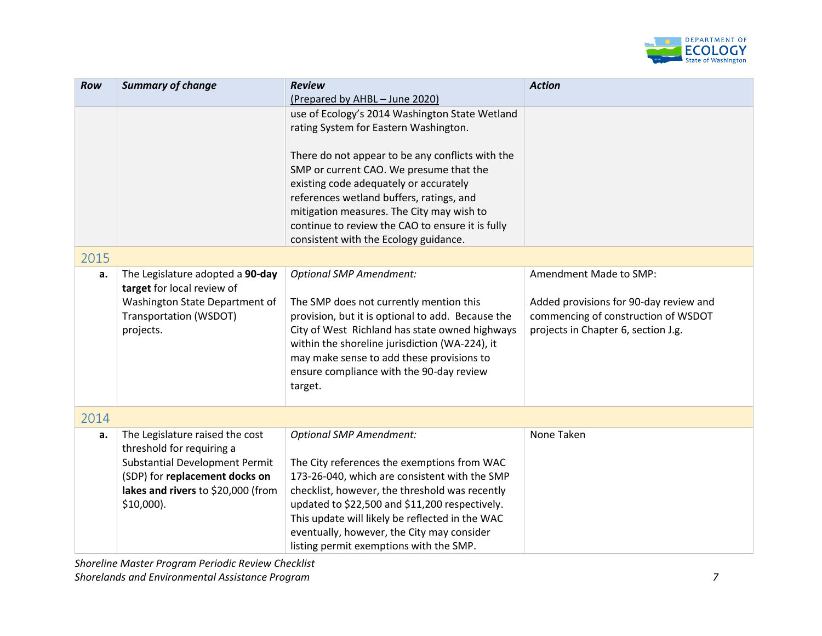

| <b>Row</b> | <b>Summary of change</b>              | <b>Review</b>                                     | <b>Action</b>                          |
|------------|---------------------------------------|---------------------------------------------------|----------------------------------------|
|            |                                       | (Prepared by AHBL - June 2020)                    |                                        |
|            |                                       | use of Ecology's 2014 Washington State Wetland    |                                        |
|            |                                       | rating System for Eastern Washington.             |                                        |
|            |                                       |                                                   |                                        |
|            |                                       | There do not appear to be any conflicts with the  |                                        |
|            |                                       | SMP or current CAO. We presume that the           |                                        |
|            |                                       | existing code adequately or accurately            |                                        |
|            |                                       | references wetland buffers, ratings, and          |                                        |
|            |                                       | mitigation measures. The City may wish to         |                                        |
|            |                                       | continue to review the CAO to ensure it is fully  |                                        |
|            |                                       | consistent with the Ecology guidance.             |                                        |
| 2015       |                                       |                                                   |                                        |
| a.         | The Legislature adopted a 90-day      | <b>Optional SMP Amendment:</b>                    | Amendment Made to SMP:                 |
|            | target for local review of            |                                                   |                                        |
|            | Washington State Department of        | The SMP does not currently mention this           | Added provisions for 90-day review and |
|            | <b>Transportation (WSDOT)</b>         | provision, but it is optional to add. Because the | commencing of construction of WSDOT    |
|            | projects.                             | City of West Richland has state owned highways    | projects in Chapter 6, section J.g.    |
|            |                                       | within the shoreline jurisdiction (WA-224), it    |                                        |
|            |                                       | may make sense to add these provisions to         |                                        |
|            |                                       | ensure compliance with the 90-day review          |                                        |
|            |                                       | target.                                           |                                        |
|            |                                       |                                                   |                                        |
| 2014       |                                       |                                                   |                                        |
| a.         | The Legislature raised the cost       | <b>Optional SMP Amendment:</b>                    | None Taken                             |
|            | threshold for requiring a             |                                                   |                                        |
|            | <b>Substantial Development Permit</b> | The City references the exemptions from WAC       |                                        |
|            | (SDP) for replacement docks on        | 173-26-040, which are consistent with the SMP     |                                        |
|            | lakes and rivers to \$20,000 (from    | checklist, however, the threshold was recently    |                                        |
|            | $$10,000$ ).                          | updated to \$22,500 and \$11,200 respectively.    |                                        |
|            |                                       | This update will likely be reflected in the WAC   |                                        |
|            |                                       | eventually, however, the City may consider        |                                        |
|            |                                       | listing permit exemptions with the SMP.           |                                        |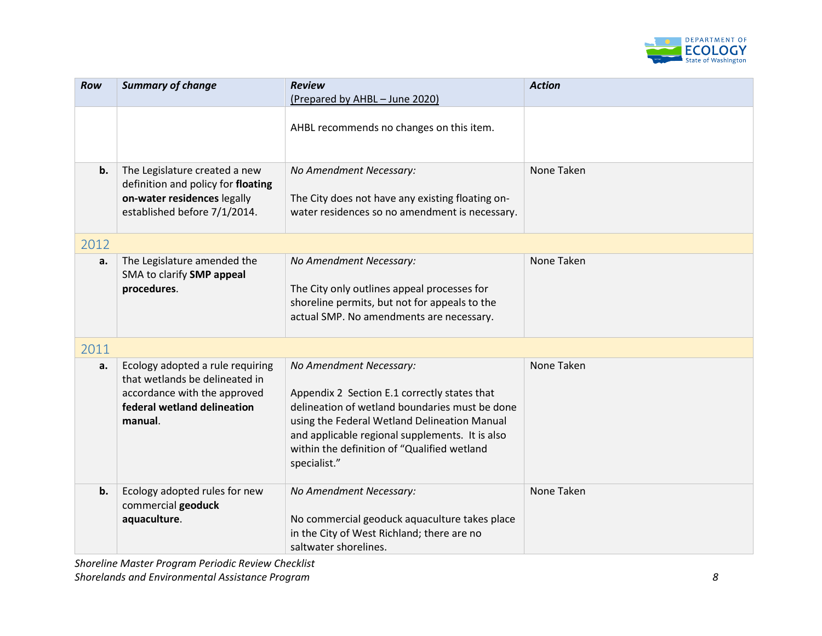

| <b>Row</b> | <b>Summary of change</b>                                                                                                                     | <b>Review</b><br>(Prepared by AHBL - June 2020)                                                                                                                                                                                                                                             | <b>Action</b> |
|------------|----------------------------------------------------------------------------------------------------------------------------------------------|---------------------------------------------------------------------------------------------------------------------------------------------------------------------------------------------------------------------------------------------------------------------------------------------|---------------|
|            |                                                                                                                                              | AHBL recommends no changes on this item.                                                                                                                                                                                                                                                    |               |
| b.         | The Legislature created a new<br>definition and policy for floating<br>on-water residences legally<br>established before 7/1/2014.           | No Amendment Necessary:<br>The City does not have any existing floating on-<br>water residences so no amendment is necessary.                                                                                                                                                               | None Taken    |
| 2012       |                                                                                                                                              |                                                                                                                                                                                                                                                                                             |               |
| a.         | The Legislature amended the<br>SMA to clarify SMP appeal<br>procedures.                                                                      | No Amendment Necessary:<br>The City only outlines appeal processes for<br>shoreline permits, but not for appeals to the<br>actual SMP. No amendments are necessary.                                                                                                                         | None Taken    |
| 2011       |                                                                                                                                              |                                                                                                                                                                                                                                                                                             |               |
| a.         | Ecology adopted a rule requiring<br>that wetlands be delineated in<br>accordance with the approved<br>federal wetland delineation<br>manual. | No Amendment Necessary:<br>Appendix 2 Section E.1 correctly states that<br>delineation of wetland boundaries must be done<br>using the Federal Wetland Delineation Manual<br>and applicable regional supplements. It is also<br>within the definition of "Qualified wetland<br>specialist." | None Taken    |
| b.         | Ecology adopted rules for new<br>commercial geoduck<br>aquaculture.                                                                          | No Amendment Necessary:<br>No commercial geoduck aquaculture takes place<br>in the City of West Richland; there are no<br>saltwater shorelines.                                                                                                                                             | None Taken    |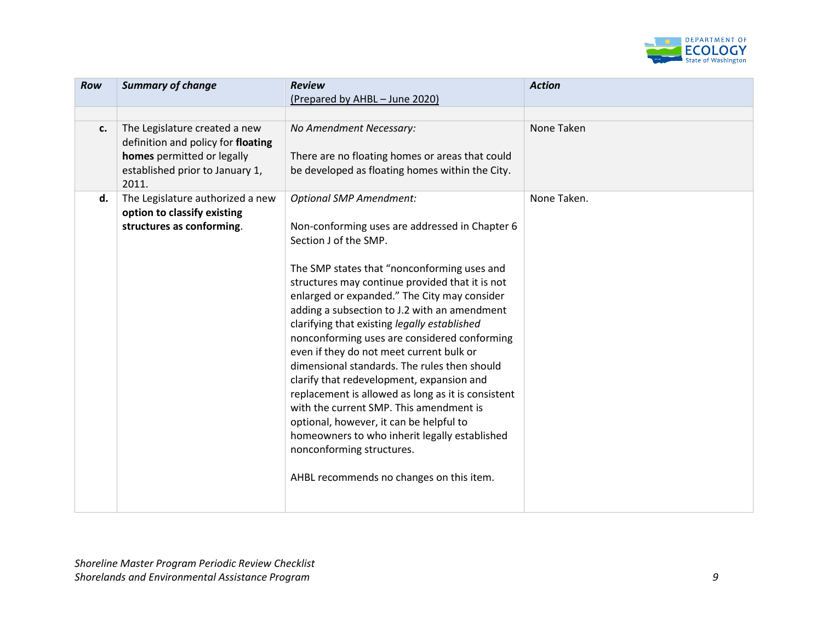

| Row | <b>Summary of change</b>                                                                                                                      | <b>Review</b>                                                                                                                                                                                                                                                                                                                                                                                                                                                                                                                                                                                                                                                                                                                                                                                                              | <b>Action</b> |
|-----|-----------------------------------------------------------------------------------------------------------------------------------------------|----------------------------------------------------------------------------------------------------------------------------------------------------------------------------------------------------------------------------------------------------------------------------------------------------------------------------------------------------------------------------------------------------------------------------------------------------------------------------------------------------------------------------------------------------------------------------------------------------------------------------------------------------------------------------------------------------------------------------------------------------------------------------------------------------------------------------|---------------|
|     |                                                                                                                                               | (Prepared by AHBL - June 2020)                                                                                                                                                                                                                                                                                                                                                                                                                                                                                                                                                                                                                                                                                                                                                                                             |               |
| c.  | The Legislature created a new<br>definition and policy for floating<br>homes permitted or legally<br>established prior to January 1,<br>2011. | No Amendment Necessary:<br>There are no floating homes or areas that could<br>be developed as floating homes within the City.                                                                                                                                                                                                                                                                                                                                                                                                                                                                                                                                                                                                                                                                                              | None Taken    |
| d.  | The Legislature authorized a new<br>option to classify existing<br>structures as conforming.                                                  | <b>Optional SMP Amendment:</b><br>Non-conforming uses are addressed in Chapter 6<br>Section J of the SMP.<br>The SMP states that "nonconforming uses and<br>structures may continue provided that it is not<br>enlarged or expanded." The City may consider<br>adding a subsection to J.2 with an amendment<br>clarifying that existing legally established<br>nonconforming uses are considered conforming<br>even if they do not meet current bulk or<br>dimensional standards. The rules then should<br>clarify that redevelopment, expansion and<br>replacement is allowed as long as it is consistent<br>with the current SMP. This amendment is<br>optional, however, it can be helpful to<br>homeowners to who inherit legally established<br>nonconforming structures.<br>AHBL recommends no changes on this item. | None Taken.   |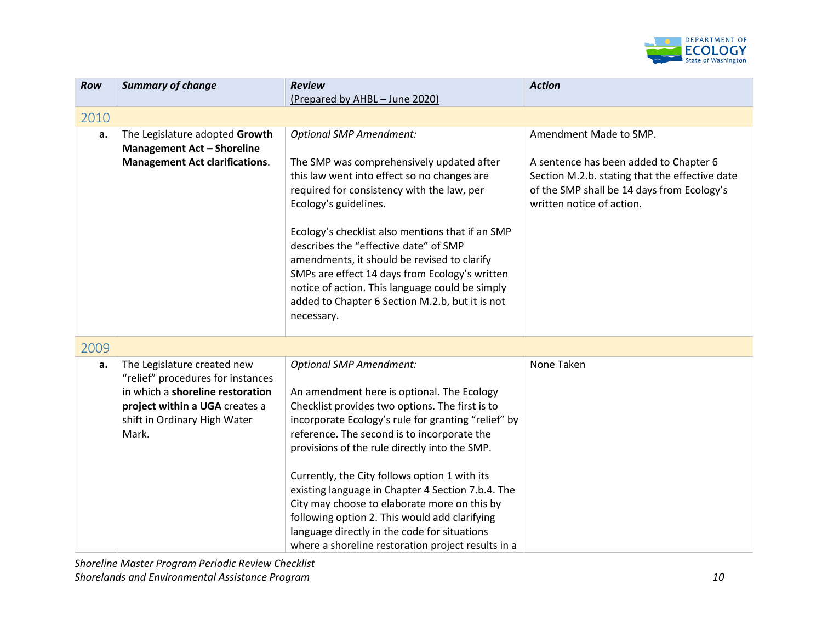

| Row  | <b>Summary of change</b>                                                                                                                                                        | <b>Review</b>                                                                                                                                                                                                                                                                                                                                                                                                                                                                                                                                                                                       | <b>Action</b>                                                                                                                                                       |
|------|---------------------------------------------------------------------------------------------------------------------------------------------------------------------------------|-----------------------------------------------------------------------------------------------------------------------------------------------------------------------------------------------------------------------------------------------------------------------------------------------------------------------------------------------------------------------------------------------------------------------------------------------------------------------------------------------------------------------------------------------------------------------------------------------------|---------------------------------------------------------------------------------------------------------------------------------------------------------------------|
|      |                                                                                                                                                                                 | (Prepared by AHBL - June 2020)                                                                                                                                                                                                                                                                                                                                                                                                                                                                                                                                                                      |                                                                                                                                                                     |
| 2010 |                                                                                                                                                                                 |                                                                                                                                                                                                                                                                                                                                                                                                                                                                                                                                                                                                     |                                                                                                                                                                     |
| a.   | The Legislature adopted Growth<br><b>Management Act - Shoreline</b>                                                                                                             | <b>Optional SMP Amendment:</b>                                                                                                                                                                                                                                                                                                                                                                                                                                                                                                                                                                      | Amendment Made to SMP.                                                                                                                                              |
|      | <b>Management Act clarifications.</b>                                                                                                                                           | The SMP was comprehensively updated after<br>this law went into effect so no changes are<br>required for consistency with the law, per<br>Ecology's guidelines.<br>Ecology's checklist also mentions that if an SMP<br>describes the "effective date" of SMP                                                                                                                                                                                                                                                                                                                                        | A sentence has been added to Chapter 6<br>Section M.2.b. stating that the effective date<br>of the SMP shall be 14 days from Ecology's<br>written notice of action. |
|      |                                                                                                                                                                                 | amendments, it should be revised to clarify<br>SMPs are effect 14 days from Ecology's written<br>notice of action. This language could be simply<br>added to Chapter 6 Section M.2.b, but it is not<br>necessary.                                                                                                                                                                                                                                                                                                                                                                                   |                                                                                                                                                                     |
| 2009 |                                                                                                                                                                                 |                                                                                                                                                                                                                                                                                                                                                                                                                                                                                                                                                                                                     |                                                                                                                                                                     |
| a.   | The Legislature created new<br>"relief" procedures for instances<br>in which a shoreline restoration<br>project within a UGA creates a<br>shift in Ordinary High Water<br>Mark. | <b>Optional SMP Amendment:</b><br>An amendment here is optional. The Ecology<br>Checklist provides two options. The first is to<br>incorporate Ecology's rule for granting "relief" by<br>reference. The second is to incorporate the<br>provisions of the rule directly into the SMP.<br>Currently, the City follows option 1 with its<br>existing language in Chapter 4 Section 7.b.4. The<br>City may choose to elaborate more on this by<br>following option 2. This would add clarifying<br>language directly in the code for situations<br>where a shoreline restoration project results in a | None Taken                                                                                                                                                          |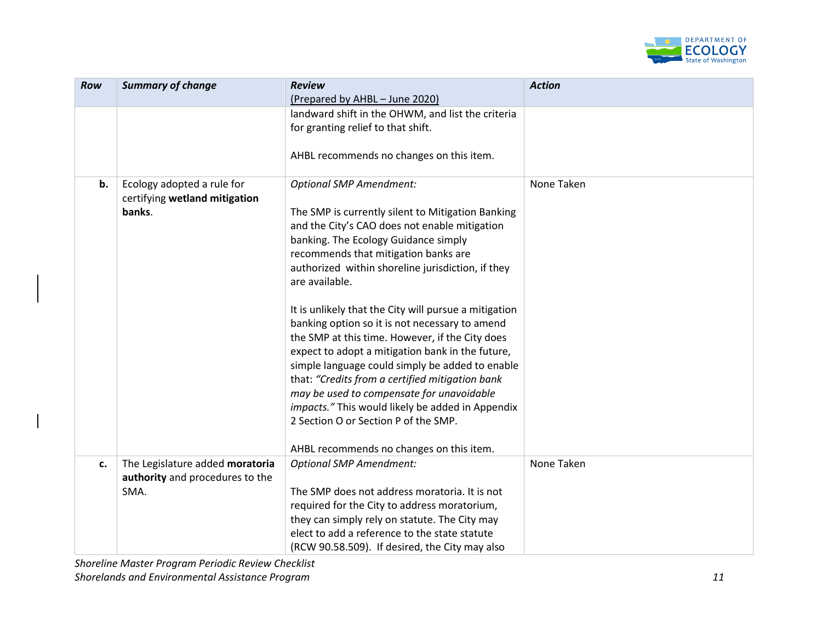

| Row | <b>Summary of change</b>        | <b>Review</b>                                         | <b>Action</b> |
|-----|---------------------------------|-------------------------------------------------------|---------------|
|     |                                 | (Prepared by AHBL - June 2020)                        |               |
|     |                                 | landward shift in the OHWM, and list the criteria     |               |
|     |                                 | for granting relief to that shift.                    |               |
|     |                                 |                                                       |               |
|     |                                 | AHBL recommends no changes on this item.              |               |
| b.  | Ecology adopted a rule for      | <b>Optional SMP Amendment:</b>                        | None Taken    |
|     | certifying wetland mitigation   |                                                       |               |
|     | banks.                          | The SMP is currently silent to Mitigation Banking     |               |
|     |                                 | and the City's CAO does not enable mitigation         |               |
|     |                                 | banking. The Ecology Guidance simply                  |               |
|     |                                 | recommends that mitigation banks are                  |               |
|     |                                 | authorized within shoreline jurisdiction, if they     |               |
|     |                                 | are available.                                        |               |
|     |                                 |                                                       |               |
|     |                                 | It is unlikely that the City will pursue a mitigation |               |
|     |                                 | banking option so it is not necessary to amend        |               |
|     |                                 | the SMP at this time. However, if the City does       |               |
|     |                                 | expect to adopt a mitigation bank in the future,      |               |
|     |                                 | simple language could simply be added to enable       |               |
|     |                                 | that: "Credits from a certified mitigation bank       |               |
|     |                                 | may be used to compensate for unavoidable             |               |
|     |                                 | impacts." This would likely be added in Appendix      |               |
|     |                                 | 2 Section O or Section P of the SMP.                  |               |
|     |                                 |                                                       |               |
|     |                                 | AHBL recommends no changes on this item.              |               |
| c.  | The Legislature added moratoria | <b>Optional SMP Amendment:</b>                        | None Taken    |
|     | authority and procedures to the |                                                       |               |
|     | SMA.                            | The SMP does not address moratoria. It is not         |               |
|     |                                 | required for the City to address moratorium,          |               |
|     |                                 | they can simply rely on statute. The City may         |               |
|     |                                 | elect to add a reference to the state statute         |               |
|     |                                 | (RCW 90.58.509). If desired, the City may also        |               |